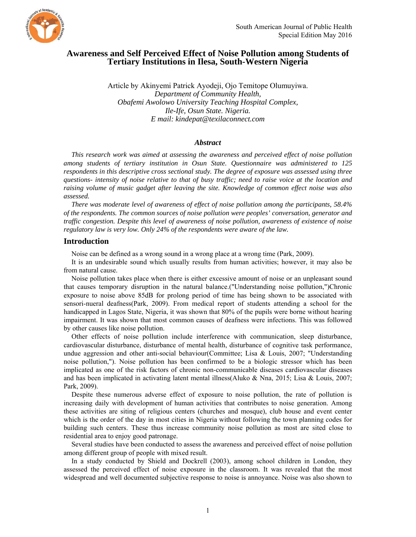

# **Awareness and Self Perceived Effect of Noise Pollution among Students of Tertiary Institutions in Ilesa, South-Western Nigeria**

Article by Akinyemi Patrick Ayodeji, Ojo Temitope Olumuyiwa. *Department of Community Health, Obafemi Awolowo University Teaching Hospital Complex, Ile-Ife, Osun State. Nigeria. E mail: kindepat@texilaconnect.com* 

#### *Abstract*

*This research work was aimed at assessing the awareness and perceived effect of noise pollution among students of tertiary institution in Osun State. Questionnaire was administered to 125 respondents in this descriptive cross sectional study. The degree of exposure was assessed using three questions- intensity of noise relative to that of busy traffic; need to raise voice at the location and raising volume of music gadget after leaving the site. Knowledge of common effect noise was also assessed.* 

*There was moderate level of awareness of effect of noise pollution among the participants, 58.4% of the respondents. The common sources of noise pollution were peoples' conversation, generator and traffic congestion. Despite this level of awareness of noise pollution, awareness of existence of noise regulatory law is very low. Only 24% of the respondents were aware of the law.* 

#### **Introduction**

Noise can be defined as a wrong sound in a wrong place at a wrong time (Park, 2009).

It is an undesirable sound which usually results from human activities; however, it may also be from natural cause.

Noise pollution takes place when there is either excessive amount of noise or an unpleasant sound that causes temporary disruption in the natural balance.("Understanding noise pollution,")Chronic exposure to noise above 85dB for prolong period of time has being shown to be associated with sensori-nueral deafness(Park, 2009). From medical report of students attending a school for the handicapped in Lagos State, Nigeria, it was shown that 80% of the pupils were borne without hearing impairment. It was shown that most common causes of deafness were infections. This was followed by other causes like noise pollution.

Other effects of noise pollution include interference with communication, sleep disturbance, cardiovascular disturbance, disturbance of mental health, disturbance of cognitive task performance, undue aggression and other anti-social behaviour(Committee; Lisa  $\&$  Louis, 2007; "Understanding noise pollution,"). Noise pollution has been confirmed to be a biologic stressor which has been implicated as one of the risk factors of chronic non-communicable diseases cardiovascular diseases and has been implicated in activating latent mental illness(Aluko & Nna, 2015; Lisa & Louis, 2007; Park, 2009).

Despite these numerous adverse effect of exposure to noise pollution, the rate of pollution is increasing daily with development of human activities that contributes to noise generation. Among these activities are siting of religious centers (churches and mosque), club house and event center which is the order of the day in most cities in Nigeria without following the town planning codes for building such centers. These thus increase community noise pollution as most are sited close to residential area to enjoy good patronage.

Several studies have been conducted to assess the awareness and perceived effect of noise pollution among different group of people with mixed result.

In a study conducted by Shield and Dockrell (2003), among school children in London, they assessed the perceived effect of noise exposure in the classroom. It was revealed that the most widespread and well documented subjective response to noise is annoyance. Noise was also shown to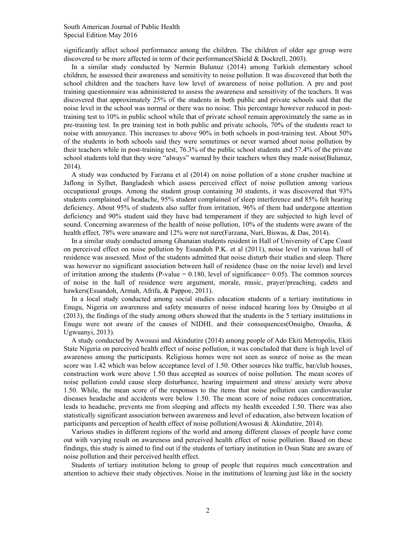significantly affect school performance among the children. The children of older age group were discovered to be more affected in term of their performance(Shield & Dockrell, 2003).

In a similar study conducted by Nermin Bulunuz (2014) among Turkish elementary school children, he assessed their awareness and sensitivity to noise pollution. It was discovered that both the school children and the teachers have low level of awareness of noise pollution. A pre and post training questionnaire was administered to assess the awareness and sensitivity of the teachers. It was discovered that approximately 25% of the students in both public and private schools said that the noise level in the school was normal or there was no noise. This percentage however reduced in posttraining test to 10% in public school while that of private school remain approximately the same as in pre-training test. In pre training test in both public and private schools, 70% of the students react to noise with annoyance. This increases to above 90% in both schools in post-training test. About 50% of the students in both schools said they were sometimes or never warned about noise pollution by their teachers while in post-training test, 76.3% of the public school students and 57.4% of the private school students told that they were "always" warned by their teachers when they made noise(Bulunuz, 2014).

A study was conducted by Farzana et al (2014) on noise pollution of a stone crusher machine at Jaflong in Sylhet, Bangladesh which assess perceived effect of noise pollution among various occupational groups. Among the student group containing 30 students, it was discovered that 93% students complained of headache, 95% student complained of sleep interference and 85% felt hearing deficiency. About 95% of students also suffer from irritation, 96% of them had undergone attention deficiency and 90% student said they have bad temperament if they are subjected to high level of sound. Concerning awareness of the health of noise pollution, 10% of the students were aware of the health effect, 78% were unaware and 12% were not sure(Farzana, Nuri, Biswas, & Das, 2014).

In a similar study conducted among Ghanaian students resident in Hall of University of Cape Coast on perceived effect on noise pollution by Essandoh P.K. et al (2011), noise level in various hall of residence was assessed. Most of the students admitted that noise disturb their studies and sleep. There was however no significant association between hall of residence (base on the noise level) and level of irritation among the students (P-value  $= 0.180$ , level of significance  $= 0.05$ ). The common sources of noise in the hall of residence were argument, morale, music, prayer/preaching, cadets and hawkers(Essandoh, Armah, Afrifa, & Pappoe, 2011).

In a local study conducted among social studies education students of a tertiary institutions in Enugu, Nigeria on awareness and safety measures of noise induced hearing loss by Onuigbo et al (2013), the findings of the study among others showed that the students in the 5 tertiary institutions in Enugu were not aware of the causes of NIDHL and their consequences(Onuigbo, Onuoha, & Ugwuanyi, 2013).

A study conducted by Awosusi and Akindutire (2014) among people of Ado Ekiti Metropolis, Ekiti State Nigeria on perceived health effect of noise pollution, it was concluded that there is high level of awareness among the participants. Religious homes were not seen as source of noise as the mean score was 1.42 which was below acceptance level of 1.50. Other sources like traffic, bar/club houses, construction work were above 1.50 thus accepted as sources of noise pollution. The mean scores of noise pollution could cause sleep disturbance, hearing impairment and stress/ anxiety were above 1.50. While, the mean score of the responses to the items that noise pollution can cardiovascular diseases headache and accidents were below 1.50. The mean score of noise reduces concentration, leads to headache, prevents me from sleeping and affects my health exceeded 1.50. There was also statistically significant association between awareness and level of education, also between location of participants and perception of health effect of noise pollution(Awosusi & Akindutire, 2014).

Various studies in different regions of the world and among different classes of people have come out with varying result on awareness and perceived health effect of noise pollution. Based on these findings, this study is aimed to find out if the students of tertiary institution in Osun State are aware of noise pollution and their perceived health effect.

Students of tertiary institution belong to group of people that requires much concentration and attention to achieve their study objectives. Noise in the institutions of learning just like in the society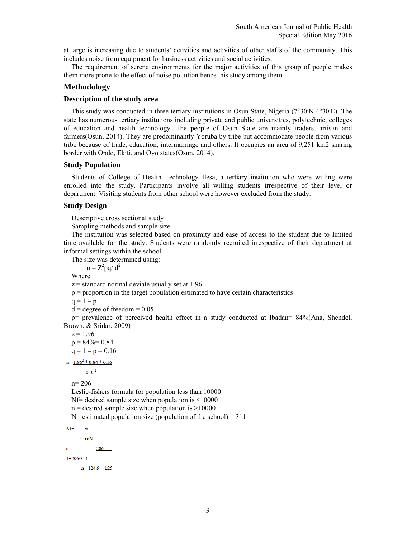at large is increasing due to students' activities and activities of other staffs of the community. This includes noise from equipment for business activities and social activities.

The requirement of serene environments for the major activities of this group of people makes them more prone to the effect of noise pollution hence this study among them.

## **Methodology**

## **Description of the study area**

This study was conducted in three tertiary institutions in Osun State, Nigeria (7°30′N 4°30′E). The state has numerous tertiary institutions including private and public universities, polytechnic, colleges of education and health technology. The people of Osun State are mainly traders, artisan and farmers(Osun, 2014). They are predominantly Yoruba by tribe but accommodate people from various tribe because of trade, education, intermarriage and others. It occupies an area of 9,251 km2 sharing border with Ondo, Ekiti, and Oyo states(Osun, 2014).

## **Study Population**

Students of College of Health Technology Ilesa, a tertiary institution who were willing were enrolled into the study. Participants involve all willing students irrespective of their level or department. Visiting students from other school were however excluded from the study.

## **Study Design**

Descriptive cross sectional study

Sampling methods and sample size

The institution was selected based on proximity and ease of access to the student due to limited time available for the study. Students were randomly recruited irrespective of their department at informal settings within the school.

The size was determined using:

 $n = Z^2 pq/d^2$ 

Where:

 $z =$  standard normal deviate usually set at 1.96

 $p =$  proportion in the target population estimated to have certain characteristics

 $q = 1 - p$ 

```
d = degree of freedom = 0.05
```
p= prevalence of perceived health effect in a study conducted at Ibadan= 84%(Ana, Shendel, Brown, & Sridar, 2009)

 $z = 1.96$  $p = 84\% = 0.84$ 

 $q = 1 - p = 0.16$ 

 $n=1.96^2*0.84*0.16$ 

 $0.05^2$ 

n= 206

Leslie-fishers formula for population less than 10000

Nf= desired sample size when population is <10000

 $n =$  desired sample size when population is  $>10000$ 

 $N=$  estimated population size (population of the school) = 311

 $Nf=$  $\mathbf{n}$ 

 $1+n/N$ 

206  $n=$ 

 $1+206/311$ 

 $n=124.9=125$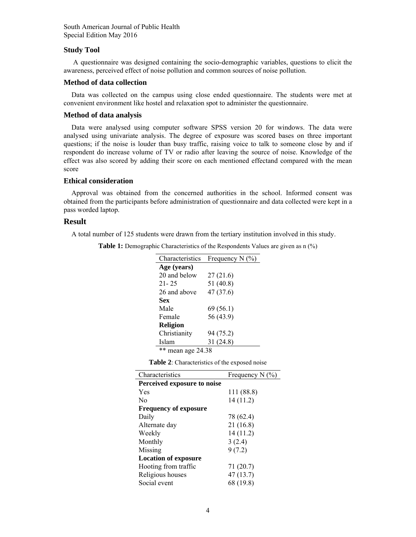South American Journal of Public Health Special Edition May 2016

#### **Study Tool**

 A questionnaire was designed containing the socio-demographic variables, questions to elicit the awareness, perceived effect of noise pollution and common sources of noise pollution.

#### **Method of data collection**

Data was collected on the campus using close ended questionnaire. The students were met at convenient environment like hostel and relaxation spot to administer the questionnaire.

## **Method of data analysis**

Data were analysed using computer software SPSS version 20 for windows. The data were analysed using univariate analysis. The degree of exposure was scored bases on three important questions; if the noise is louder than busy traffic, raising voice to talk to someone close by and if respondent do increase volume of TV or radio after leaving the source of noise. Knowledge of the effect was also scored by adding their score on each mentioned effectand compared with the mean score

## **Ethical consideration**

Approval was obtained from the concerned authorities in the school. Informed consent was obtained from the participants before administration of questionnaire and data collected were kept in a pass worded laptop.

## **Result**

A total number of 125 students were drawn from the tertiary institution involved in this study.

**Table 1:** Demographic Characteristics of the Respondents Values are given as n (%)

| Characteristics      | Frequency N $(\% )$ |
|----------------------|---------------------|
| Age (years)          |                     |
| 20 and below         | 27 (21.6)           |
| $21 - 25$            | 51 $(40.8)$         |
| 26 and above         | 47 (37.6)           |
| Sex                  |                     |
| Male                 | 69(56.1)            |
| Female               | 56 (43.9)           |
| <b>Religion</b>      |                     |
| Christianity         | 94 (75.2)           |
| Islam                | 31 (24.8)           |
| **<br>mean age 24.38 |                     |

**Table 2**: Characteristics of the exposed noise

| Characteristics              | Frequency N $(\% )$ |
|------------------------------|---------------------|
| Perceived exposure to noise  |                     |
| Yes                          | 111 (88.8)          |
| N <sub>0</sub>               | 14 (11.2)           |
| <b>Frequency of exposure</b> |                     |
| Daily                        | 78 (62.4)           |
| Alternate day                | 21(16.8)            |
| Weekly                       | 14(11.2)            |
| Monthly                      | 3(2.4)              |
| Missing                      | 9(7.2)              |
| <b>Location of exposure</b>  |                     |
| Hooting from traffic         | 71 (20.7)           |
| Religious houses             | 47(13.7)            |
| Social event                 | 68 (19.8)           |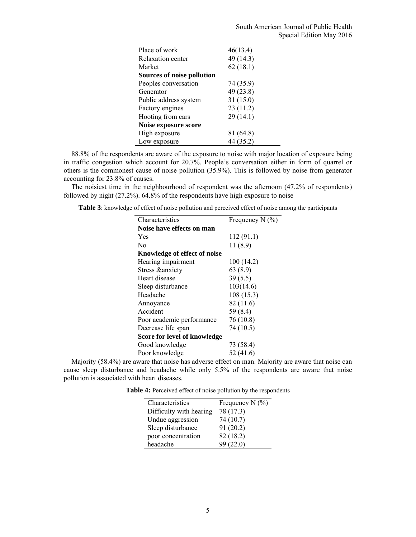| Place of work                     | 46(13.4)  |
|-----------------------------------|-----------|
| Relaxation center                 | 49 (14.3) |
| Market                            | 62(18.1)  |
| <b>Sources of noise pollution</b> |           |
| Peoples conversation              | 74 (35.9) |
| Generator                         | 49 (23.8) |
| Public address system             | 31(15.0)  |
| Factory engines                   | 23(11.2)  |
| Hooting from cars                 | 29(14.1)  |
| Noise exposure score              |           |
| High exposure                     | 81 (64.8) |
| Low exposure                      | 44 (35.2) |

88.8% of the respondents are aware of the exposure to noise with major location of exposure being in traffic congestion which account for 20.7%. People's conversation either in form of quarrel or others is the commonest cause of noise pollution (35.9%). This is followed by noise from generator accounting for 23.8% of causes.

The noisiest time in the neighbourhood of respondent was the afternoon (47.2% of respondents) followed by night (27.2%). 64.8% of the respondents have high exposure to noise

**Table 3**: knowledge of effect of noise pollution and perceived effect of noise among the participants

| Characteristics              | Frequency N $(\% )$ |
|------------------------------|---------------------|
| Noise have effects on man    |                     |
| Yes                          | 112 (91.1)          |
| No                           | 11(8.9)             |
| Knowledge of effect of noise |                     |
| Hearing impairment           | 100 (14.2)          |
| Stress &anxiety              | 63(8.9)             |
| Heart disease                | 39(5.5)             |
| Sleep disturbance            | 103(14.6)           |
| Headache                     | 108(15.3)           |
| Annoyance                    | 82 (11.6)           |
| Accident                     | 59 (8.4)            |
| Poor academic performance    | 76 (10.8)           |
| Decrease life span           | 74 (10.5)           |
| Score for level of knowledge |                     |
| Good knowledge               | 73 (58.4)           |
| Poor knowledge               | 52(41.6)            |

Majority (58.4%) are aware that noise has adverse effect on man. Majority are aware that noise can cause sleep disturbance and headache while only 5.5% of the respondents are aware that noise pollution is associated with heart diseases.

**Table 4:** Perceived effect of noise pollution by the respondents

| Characteristics         | Frequency $N$ (%) |
|-------------------------|-------------------|
| Difficulty with hearing | 78 (17.3)         |
| Undue aggression        | 74 (10.7)         |
| Sleep disturbance       | 91(20.2)          |
| poor concentration      | 82 (18.2)         |
| headache                | 99(22.0)          |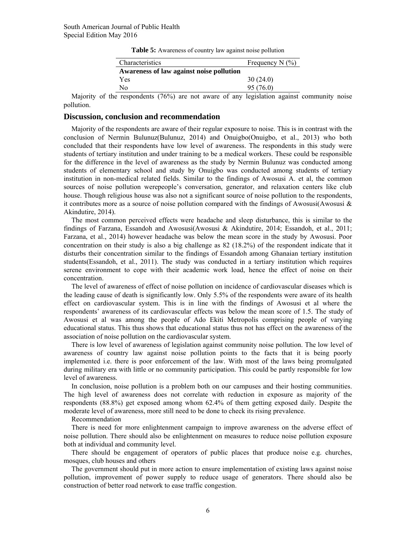**Table 5:** Awareness of country law against noise pollution

| Characteristics                          | Frequency N $(\% )$ |
|------------------------------------------|---------------------|
| Awareness of law against noise pollution |                     |
| Yes                                      | 30(24.0)            |
| N٥                                       | 95 (76.0)           |

Majority of the respondents (76%) are not aware of any legislation against community noise pollution.

#### **Discussion, conclusion and recommendation**

Majority of the respondents are aware of their regular exposure to noise. This is in contrast with the conclusion of Nermin Bulunuz(Bulunuz, 2014) and Onuigbo(Onuigbo, et al., 2013) who both concluded that their respondents have low level of awareness. The respondents in this study were students of tertiary institution and under training to be a medical workers. These could be responsible for the difference in the level of awareness as the study by Nermin Bulunuz was conducted among students of elementary school and study by Onuigbo was conducted among students of tertiary institution in non-medical related fields. Similar to the findings of Awosusi A. et al, the common sources of noise pollution werepeople's conversation, generator, and relaxation centers like club house. Though religious house was also not a significant source of noise pollution to the respondents, it contributes more as a source of noise pollution compared with the findings of Awosusi(Awosusi  $\&$ Akindutire, 2014).

The most common perceived effects were headache and sleep disturbance, this is similar to the findings of Farzana, Essandoh and Awosusi(Awosusi & Akindutire, 2014; Essandoh, et al., 2011; Farzana, et al., 2014) however headache was below the mean score in the study by Awosusi. Poor concentration on their study is also a big challenge as 82 (18.2%) of the respondent indicate that it disturbs their concentration similar to the findings of Essandoh among Ghanaian tertiary institution students(Essandoh, et al., 2011). The study was conducted in a tertiary institution which requires serene environment to cope with their academic work load, hence the effect of noise on their concentration.

The level of awareness of effect of noise pollution on incidence of cardiovascular diseases which is the leading cause of death is significantly low. Only 5.5% of the respondents were aware of its health effect on cardiovascular system. This is in line with the findings of Awosusi et al where the respondents' awareness of its cardiovascular effects was below the mean score of 1.5. The study of Awosusi et al was among the people of Ado Ekiti Metropolis comprising people of varying educational status. This thus shows that educational status thus not has effect on the awareness of the association of noise pollution on the cardiovascular system.

There is low level of awareness of legislation against community noise pollution. The low level of awareness of country law against noise pollution points to the facts that it is being poorly implemented i.e. there is poor enforcement of the law. With most of the laws being promulgated during military era with little or no community participation. This could be partly responsible for low level of awareness.

In conclusion, noise pollution is a problem both on our campuses and their hosting communities. The high level of awareness does not correlate with reduction in exposure as majority of the respondents (88.8%) get exposed among whom 62.4% of them getting exposed daily. Despite the moderate level of awareness, more still need to be done to check its rising prevalence.

#### Recommendation

There is need for more enlightenment campaign to improve awareness on the adverse effect of noise pollution. There should also be enlightenment on measures to reduce noise pollution exposure both at individual and community level.

There should be engagement of operators of public places that produce noise e.g. churches, mosques, club houses and others

The government should put in more action to ensure implementation of existing laws against noise pollution, improvement of power supply to reduce usage of generators. There should also be construction of better road network to ease traffic congestion.